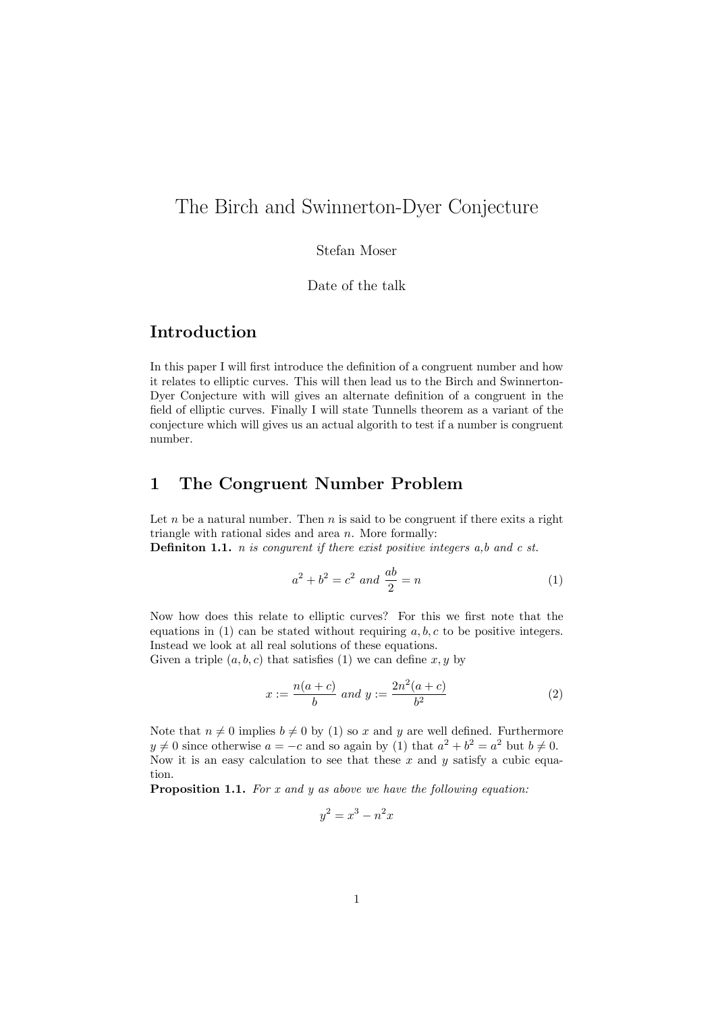# The Birch and Swinnerton-Dyer Conjecture

Stefan Moser

Date of the talk

### Introduction

In this paper I will first introduce the definition of a congruent number and how it relates to elliptic curves. This will then lead us to the Birch and Swinnerton-Dyer Conjecture with will gives an alternate definition of a congruent in the field of elliptic curves. Finally I will state Tunnells theorem as a variant of the conjecture which will gives us an actual algorith to test if a number is congruent number.

#### 1 The Congruent Number Problem

Let  $n$  be a natural number. Then  $n$  is said to be congruent if there exits a right triangle with rational sides and area *n*. More formally:

Definiton 1.1. *n is congurent if there exist positive integers a,b and c st.*

$$
a^2 + b^2 = c^2 \text{ and } \frac{ab}{2} = n \tag{1}
$$

Now how does this relate to elliptic curves? For this we first note that the equations in  $(1)$  can be stated without requiring  $a, b, c$  to be positive integers. Instead we look at all real solutions of these equations.

Given a triple  $(a, b, c)$  that satisfies  $(1)$  we can define  $x, y$  by

$$
x := \frac{n(a+c)}{b} \text{ and } y := \frac{2n^2(a+c)}{b^2} \tag{2}
$$

Note that  $n \neq 0$  implies  $b \neq 0$  by (1) so x and y are well defined. Furthermore *y*  $\neq$  0 since otherwise *a* = −*c* and so again by (1) that  $a^2 + b^2 = a^2$  but  $b \neq 0$ . Now it is an easy calculation to see that these *x* and *y* satisfy a cubic equation.

Proposition 1.1. *For x and y as above we have the following equation:*

$$
y^2 = x^3 - n^2x
$$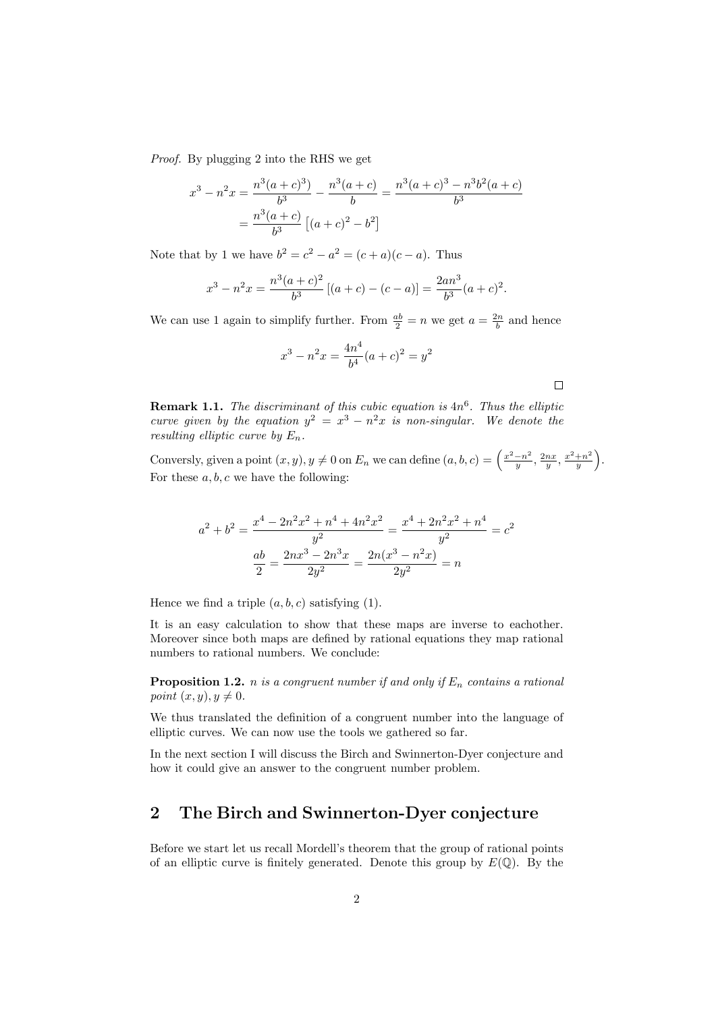*Proof.* By plugging 2 into the RHS we get

$$
x^{3} - n^{2}x = \frac{n^{3}(a+c)^{3}}{b^{3}} - \frac{n^{3}(a+c)}{b} = \frac{n^{3}(a+c)^{3} - n^{3}b^{2}(a+c)}{b^{3}}
$$

$$
= \frac{n^{3}(a+c)}{b^{3}} [(a+c)^{2} - b^{2}]
$$

Note that by 1 we have  $b^2 = c^2 - a^2 = (c + a)(c - a)$ . Thus

$$
x^{3} - n^{2}x = \frac{n^{3}(a+c)^{2}}{b^{3}}[(a+c) - (c-a)] = \frac{2an^{3}}{b^{3}}(a+c)^{2}.
$$

We can use 1 again to simplify further. From  $\frac{ab}{2} = n$  we get  $a = \frac{2n}{b}$  and hence

$$
x^{3} - n^{2}x = \frac{4n^{4}}{b^{4}}(a+c)^{2} = y^{2}
$$

 $\Box$ 

Remark 1.1. *The discriminant of this cubic equation is* 4*n*<sup>6</sup>*. Thus the elliptic curve given by the equation*  $y^2 = x^3 - n^2x$  *is non-singular.* We denote the *resulting elliptic curve by En.*

Conversly, given a point  $(x, y), y \neq 0$  on  $E_n$  we can define  $(a, b, c) = \left(\frac{x^2 - n^2}{y}, \frac{2nx}{y}, \frac{x^2 + n^2}{y}\right)$  $\big).$ For these  $a, b, c$  we have the following:

$$
a^{2} + b^{2} = \frac{x^{4} - 2n^{2}x^{2} + n^{4} + 4n^{2}x^{2}}{y^{2}} = \frac{x^{4} + 2n^{2}x^{2} + n^{4}}{y^{2}} = c^{2}
$$

$$
\frac{ab}{2} = \frac{2nx^{3} - 2n^{3}x}{2y^{2}} = \frac{2n(x^{3} - n^{2}x)}{2y^{2}} = n
$$

Hence we find a triple  $(a, b, c)$  satisfying  $(1)$ .

It is an easy calculation to show that these maps are inverse to eachother. Moreover since both maps are defined by rational equations they map rational numbers to rational numbers. We conclude:

**Proposition 1.2.** *n is a congruent number if and only if*  $E_n$  *contains a rational point*  $(x, y), y \neq 0$ *.* 

We thus translated the definition of a congruent number into the language of elliptic curves. We can now use the tools we gathered so far.

In the next section I will discuss the Birch and Swinnerton-Dyer conjecture and how it could give an answer to the congruent number problem.

#### 2 The Birch and Swinnerton-Dyer conjecture

Before we start let us recall Mordell's theorem that the group of rational points of an elliptic curve is finitely generated. Denote this group by  $E(\mathbb{Q})$ . By the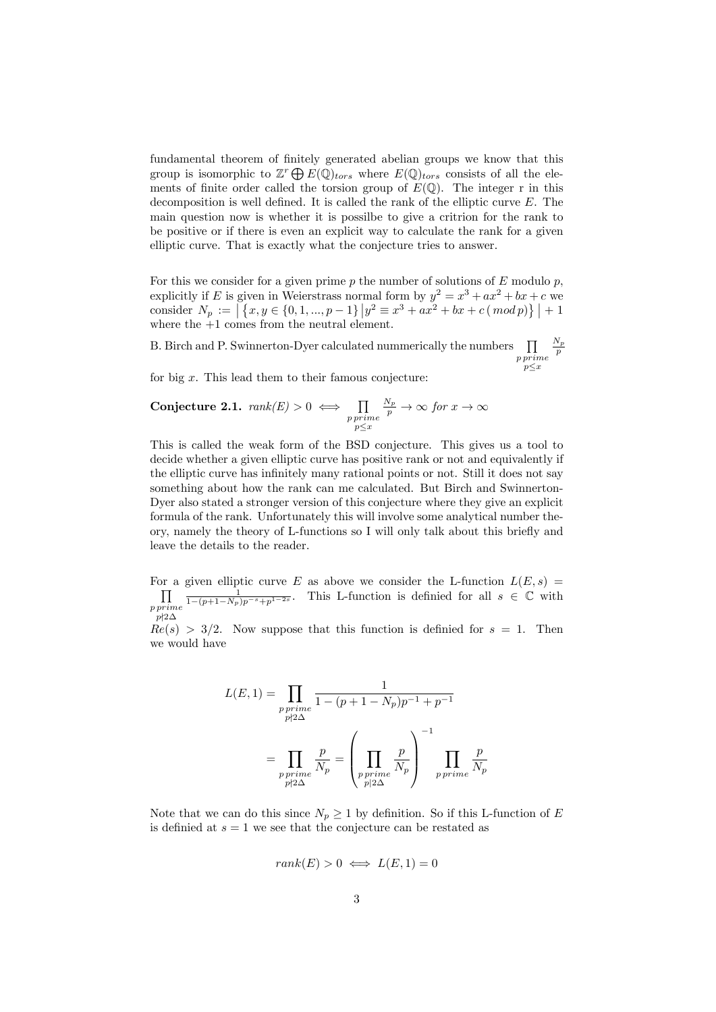fundamental theorem of finitely generated abelian groups we know that this group is isomorphic to  $\mathbb{Z}^r \bigoplus E(\mathbb{Q})_{tors}$  where  $E(\mathbb{Q})_{tors}$  consists of all the elements of finite order called the torsion group of  $E(\mathbb{Q})$ . The integer r in this decomposition is well defined. It is called the rank of the elliptic curve *E*. The main question now is whether it is possilbe to give a critrion for the rank to be positive or if there is even an explicit way to calculate the rank for a given elliptic curve. That is exactly what the conjecture tries to answer.

For this we consider for a given prime *p* the number of solutions of *E* modulo *p*, explicitly if *E* is given in Weierstrass normal form by  $y^2 = x^3 + ax^2 + bx + c$  we  $\text{consider } N_p := \left[ \left\{ x, y \in \{0, 1, ..., p-1\} \, \middle| \, y^2 \equiv x^3 + ax^2 + bx + c \, ( \, mod \, p) \right\} \right] + 1$ where the  $+1$  comes from the neutral element.

B. Birch and P. Swinnerton-Dyer calculated nummerically the numbers  $\prod$ *p prime p*≤*x N<sup>p</sup> p*

for big *x*. This lead them to their famous conjecture:

**Conjecture 2.1.** 
$$
rank(E) > 0 \iff \prod_{\substack{p \text{ prime} \\ p \leq x}} \frac{N_p}{p} \to \infty \text{ for } x \to \infty
$$

This is called the weak form of the BSD conjecture. This gives us a tool to decide whether a given elliptic curve has positive rank or not and equivalently if the elliptic curve has infinitely many rational points or not. Still it does not say something about how the rank can me calculated. But Birch and Swinnerton-Dyer also stated a stronger version of this conjecture where they give an explicit formula of the rank. Unfortunately this will involve some analytical number theory, namely the theory of L-functions so I will only talk about this briefly and leave the details to the reader.

For a given elliptic curve *E* as above we consider the L-function  $L(E, s) = \prod_{\substack{m \text{odd } m}}$ *p prime p*∤2∆  $\frac{1}{1-(p+1-N_p)p^{-s}+p^{1-2s}}$ . This L-function is definied for all *s* ∈ ℂ with

 $Re(s) > 3/2$ . Now suppose that this function is definied for  $s = 1$ . Then we would have

$$
L(E, 1) = \prod_{\substack{p \text{ prime} \\ p \nmid 2\Delta}} \frac{1}{1 - (p + 1 - N_p)p^{-1} + p^{-1}}
$$

$$
= \prod_{\substack{p \text{ prime} \\ p \nmid 2\Delta}} \frac{p}{N_p} = \left(\prod_{\substack{p \text{ prime} \\ p \mid 2\Delta}} \frac{p}{N_p}\right)^{-1} \prod_{p \text{ prime}} \frac{p}{N_p}
$$

Note that we can do this since  $N_p \geq 1$  by definition. So if this L-function of *E* is definied at  $s = 1$  we see that the conjecture can be restated as

$$
rank(E) > 0 \iff L(E, 1) = 0
$$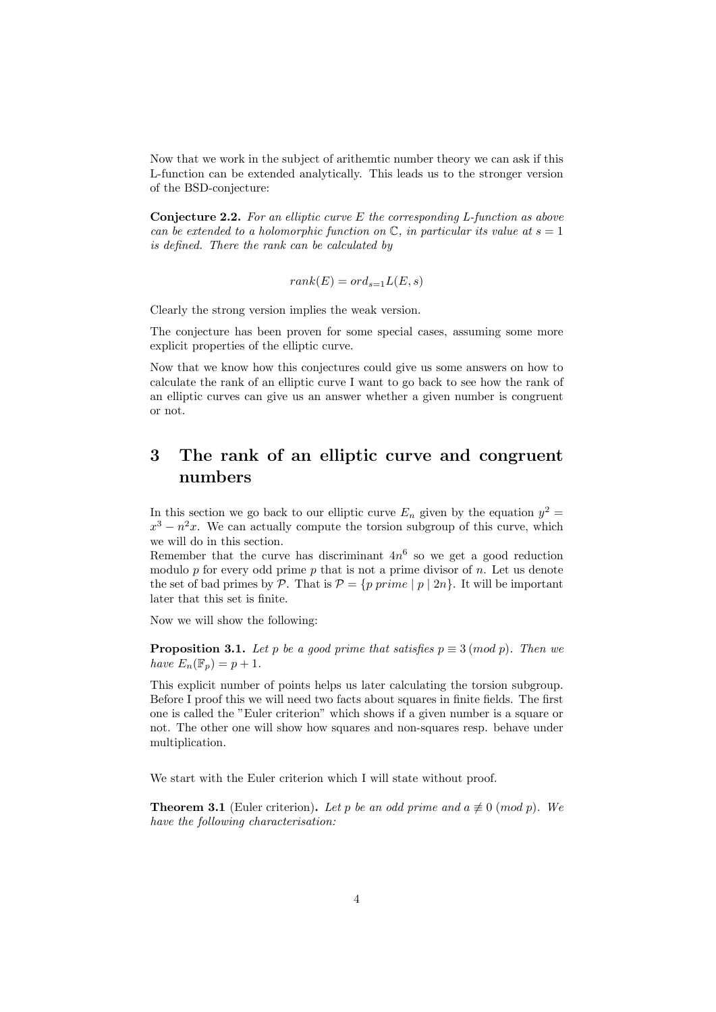Now that we work in the subject of arithemtic number theory we can ask if this L-function can be extended analytically. This leads us to the stronger version of the BSD-conjecture:

Conjecture 2.2. *For an elliptic curve E the corresponding L-function as above can* be extended to a holomorphic function on  $\mathbb{C}$ , in particular its value at  $s = 1$ *is defined. There the rank can be calculated by*

$$
rank(E) = ord_{s=1}L(E, s)
$$

Clearly the strong version implies the weak version.

The conjecture has been proven for some special cases, assuming some more explicit properties of the elliptic curve.

Now that we know how this conjectures could give us some answers on how to calculate the rank of an elliptic curve I want to go back to see how the rank of an elliptic curves can give us an answer whether a given number is congruent or not.

## 3 The rank of an elliptic curve and congruent numbers

In this section we go back to our elliptic curve  $E_n$  given by the equation  $y^2 =$  $x^3 - n^2x$ . We can actually compute the torsion subgroup of this curve, which we will do in this section.

Remember that the curve has discriminant  $4n^6$  so we get a good reduction modulo *p* for every odd prime *p* that is not a prime divisor of *n*. Let us denote the set of bad primes by  $P$ . That is  $P = \{p \ prime \mid p \mid 2n\}$ . It will be important later that this set is finite.

Now we will show the following:

**Proposition 3.1.** *Let p be a good prime that satisfies*  $p \equiv 3 \pmod{p}$ *. Then we have*  $E_n(\mathbb{F}_p) = p + 1$ *.* 

This explicit number of points helps us later calculating the torsion subgroup. Before I proof this we will need two facts about squares in finite fields. The first one is called the "Euler criterion" which shows if a given number is a square or not. The other one will show how squares and non-squares resp. behave under multiplication.

We start with the Euler criterion which I will state without proof.

**Theorem 3.1** (Euler criterion). Let p be an odd prime and  $a \not\equiv 0 \pmod{p}$ . We *have the following characterisation:*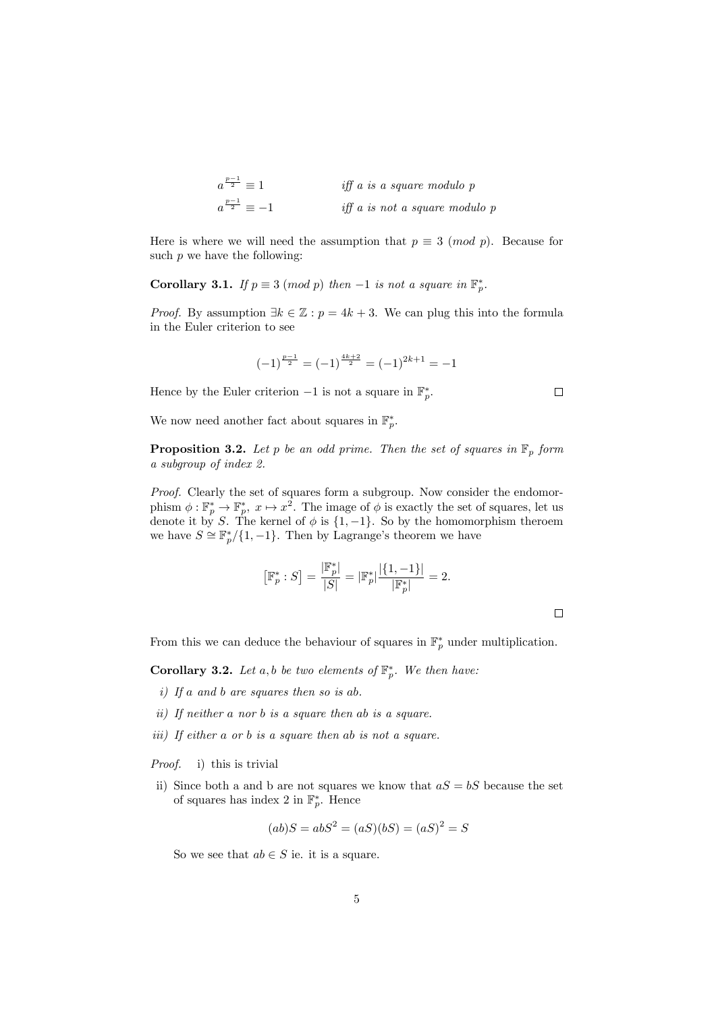$$
a^{\frac{p-1}{2}} \equiv 1
$$
 iff a is a square modulo p  

$$
a^{\frac{p-1}{2}} \equiv -1
$$
 iff a is not a square modulo p

Here is where we will need the assumption that  $p \equiv 3 \pmod{p}$ . Because for such  $p$  we have the following:

Corollary 3.1. *If*  $p \equiv 3 \pmod{p}$  *then* −1 *is not a square in*  $\mathbb{F}_p^*$ *.* 

*Proof.* By assumption  $\exists k \in \mathbb{Z} : p = 4k + 3$ . We can plug this into the formula in the Euler criterion to see

$$
(-1)^{\frac{p-1}{2}} = (-1)^{\frac{4k+2}{2}} = (-1)^{2k+1} = -1
$$

Hence by the Euler criterion  $-1$  is not a square in  $\mathbb{F}_p^*$ .

We now need another fact about squares in  $\mathbb{F}_p^*$ .

**Proposition 3.2.** Let  $p$  be an odd prime. Then the set of squares in  $\mathbb{F}_p$  form *a subgroup of index 2.*

*Proof.* Clearly the set of squares form a subgroup. Now consider the endomorphism  $\phi: \mathbb{F}_p^* \to \mathbb{F}_p^*$ ,  $x \mapsto x^2$ . The image of  $\phi$  is exactly the set of squares, let us denote it by *S*. The kernel of  $\phi$  is  $\{1, -1\}$ . So by the homomorphism theroem we have  $S \cong \mathbb{F}_p^*/\{1,-1\}$ . Then by Lagrange's theorem we have

$$
\left[\mathbb{F}_p^* : S\right] = \frac{|\mathbb{F}_p^*|}{|S|} = |\mathbb{F}_p^*| \frac{|\{1, -1\}|}{|\mathbb{F}_p^*|} = 2.
$$

 $\Box$ 

 $\Box$ 

From this we can deduce the behaviour of squares in F<sup>∗</sup> *<sup>p</sup>* under multiplication.

**Corollary 3.2.** Let  $a, b$  be two elements of  $\mathbb{F}_p^*$ . We then have:

- *i) If a and b are squares then so is ab.*
- *ii) If neither a nor b is a square then ab is a square.*
- *iii) If either a or b is a square then ab is not a square.*

*Proof.* i) this is trivial

ii) Since both a and b are not squares we know that  $aS = bS$  because the set of squares has index 2 in  $\mathbb{F}_p^*$ . Hence

$$
(ab)S = abS^2 = (aS)(bS) = (aS)^2 = S
$$

So we see that  $ab \in S$  ie. it is a square.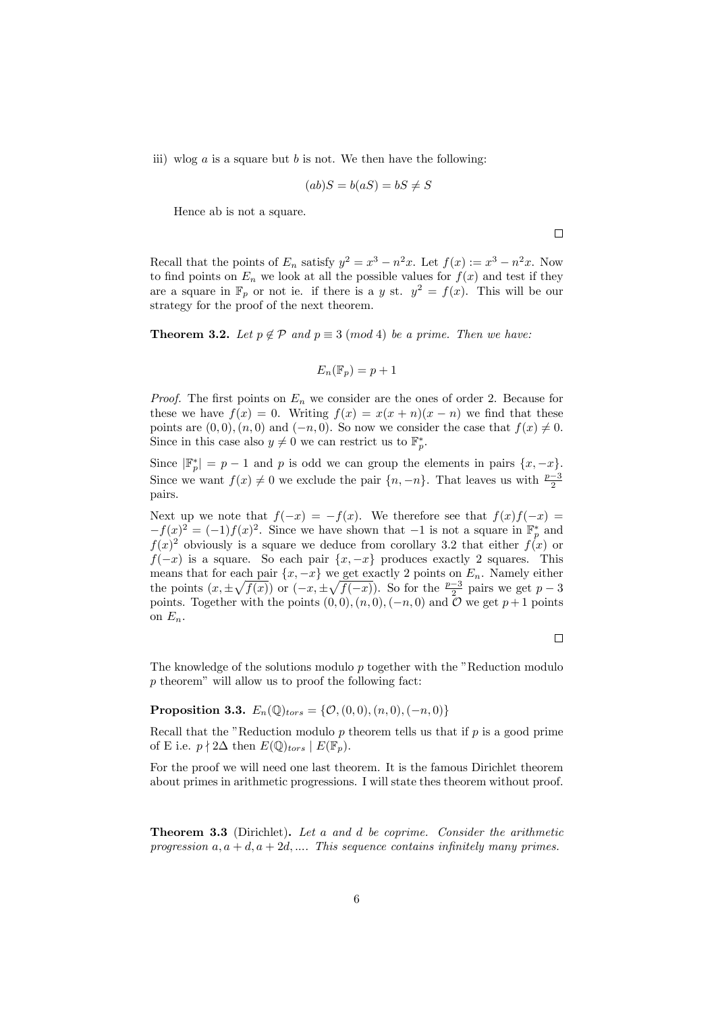iii) wlog  $a$  is a square but  $b$  is not. We then have the following:

$$
(ab)S = b(aS) = bS \neq S
$$

Hence ab is not a square.

 $\Box$ 

Recall that the points of  $E_n$  satisfy  $y^2 = x^3 - n^2x$ . Let  $f(x) := x^3 - n^2x$ . Now to find points on  $E_n$  we look at all the possible values for  $f(x)$  and test if they are a square in  $\mathbb{F}_p$  or not ie. if there is a *y* st.  $y^2 = f(x)$ . This will be our strategy for the proof of the next theorem.

**Theorem 3.2.** Let  $p \notin \mathcal{P}$  and  $p \equiv 3 \pmod{4}$  be a prime. Then we have:

$$
E_n(\mathbb{F}_p) = p + 1
$$

*Proof.* The first points on  $E_n$  we consider are the ones of order 2. Because for these we have  $f(x) = 0$ . Writing  $f(x) = x(x+n)(x-n)$  we find that these points are  $(0,0), (n,0)$  and  $(-n,0)$ . So now we consider the case that  $f(x) \neq 0$ . Since in this case also  $y \neq 0$  we can restrict us to  $\mathbb{F}_p^*$ .

Since  $|\mathbb{F}_p^*| = p - 1$  and *p* is odd we can group the elements in pairs  $\{x, -x\}$ . Since we want  $f(x) \neq 0$  we exclude the pair  $\{n, -n\}$ . That leaves us with  $\frac{p-3}{2}$ pairs.

Next up we note that  $f(-x) = -f(x)$ . We therefore see that  $f(x)f(-x) =$  $-f(x)^2 = (-1)f(x)^2$ . Since we have shown that  $-1$  is not a square in  $\mathbb{F}_p^*$  and  $f(x)^2$  obviously is a square we deduce from corollary 3.2 that either  $f(x)$  or *f*(−*x*) is a square. So each pair  $\{x, -x\}$  produces exactly 2 squares. This means that for each pair  $\{x, -x\}$  we get exactly 2 points on  $E_n$ . Namely either the points  $(x, \pm \sqrt{f(x)})$  or  $(-x, \pm \sqrt{f(-x)})$ . So for the  $\frac{p-3}{2}$  pairs we get  $p-3$ points. Together with the points  $(0,0)$ *,* $(n,0)$ *,* $(-n,0)$  and  $\mathcal{O}$  we get  $p+1$  points on  $E_n$ .

 $\Box$ 

The knowledge of the solutions modulo *p* together with the "Reduction modulo *p* theorem" will allow us to proof the following fact:

**Proposition 3.3.**  $E_n(\mathbb{Q})_{tors} = \{ \mathcal{O}_n(0,0), (n,0), (-n,0) \}$ 

Recall that the "Reduction modulo *p* theorem tells us that if *p* is a good prime of E i.e.  $p \nmid 2\Delta$  then  $E(\mathbb{Q})_{tors} | E(\mathbb{F}_p)$ .

For the proof we will need one last theorem. It is the famous Dirichlet theorem about primes in arithmetic progressions. I will state thes theorem without proof.

Theorem 3.3 (Dirichlet). *Let a and d be coprime. Consider the arithmetic progression*  $a, a + d, a + 2d, \ldots$  *This sequence contains infinitely many primes.*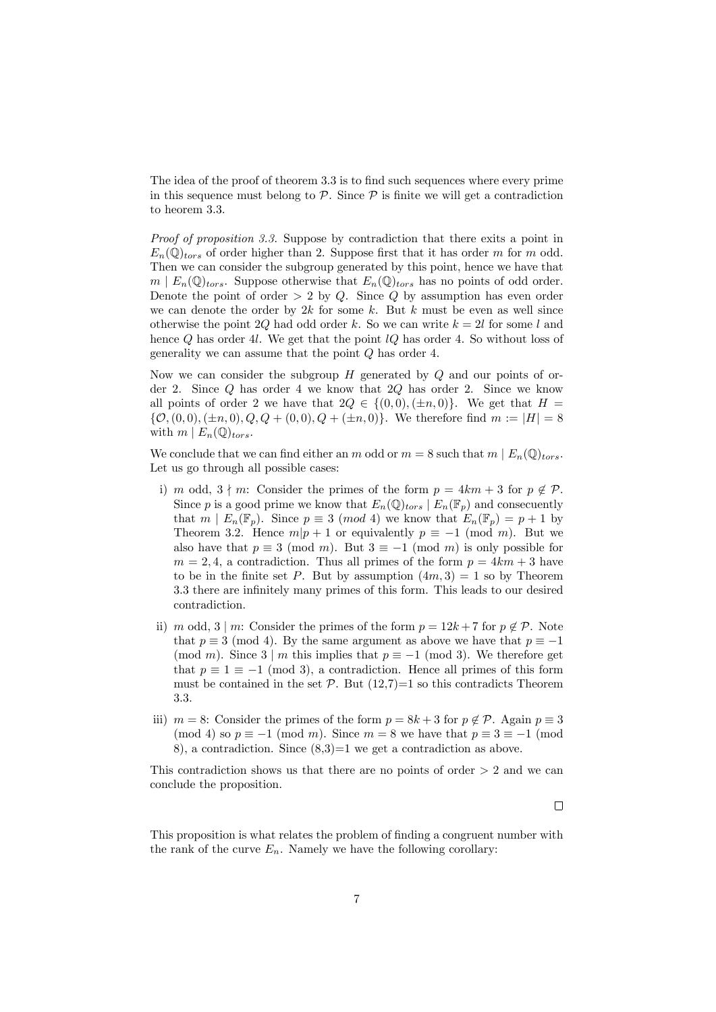The idea of the proof of theorem 3.3 is to find such sequences where every prime in this sequence must belong to  $P$ . Since  $P$  is finite we will get a contradiction to heorem 3.3.

*Proof of proposition 3.3.* Suppose by contradiction that there exits a point in  $E_n(\mathbb{Q})_{tors}$  of order higher than 2. Suppose first that it has order *m* for *m* odd. Then we can consider the subgroup generated by this point, hence we have that  $m \mid E_n(\mathbb{Q})_{tors}$ . Suppose otherwise that  $E_n(\mathbb{Q})_{tors}$  has no points of odd order. Denote the point of order *>* 2 by *Q*. Since *Q* by assumption has even order we can denote the order by 2*k* for some *k*. But *k* must be even as well since otherwise the point 2*Q* had odd order *k*. So we can write  $k = 2l$  for some *l* and hence *Q* has order 4*l*. We get that the point *lQ* has order 4. So without loss of generality we can assume that the point *Q* has order 4.

Now we can consider the subgroup *H* generated by *Q* and our points of order 2. Since *Q* has order 4 we know that 2*Q* has order 2. Since we know all points of order 2 we have that  $2Q \in \{(0,0), (\pm n, 0)\}$ . We get that  $H =$  $\{\mathcal{O}, (0,0), (\pm n,0), Q, Q + (0,0), Q + (\pm n,0)\}.$  We therefore find  $m := |H| = 8$ with  $m \mid E_n(\mathbb{Q})_{tors}.$ 

We conclude that we can find either an *m* odd or  $m = 8$  such that  $m | E_n(\mathbb{Q})_{tors}$ . Let us go through all possible cases:

- i) *m* odd,  $3 \nmid m$ : Consider the primes of the form  $p = 4km + 3$  for  $p \notin \mathcal{P}$ . Since *p* is a good prime we know that  $E_n(\mathbb{Q})_{tors} | E_n(\mathbb{F}_p)$  and consecuently that  $m \mid E_n(\mathbb{F}_p)$ . Since  $p \equiv 3 \pmod{4}$  we know that  $E_n(\mathbb{F}_p) = p + 1$  by Theorem 3.2. Hence  $m|p+1$  or equivalently  $p \equiv -1 \pmod{m}$ . But we also have that  $p \equiv 3 \pmod{m}$ . But  $3 \equiv -1 \pmod{m}$  is only possible for  $m = 2, 4$ , a contradiction. Thus all primes of the form  $p = 4km + 3$  have to be in the finite set *P*. But by assumption  $(4m, 3) = 1$  so by Theorem 3.3 there are infinitely many primes of this form. This leads to our desired contradiction.
- ii) *m* odd, 3 | *m*: Consider the primes of the form  $p = 12k + 7$  for  $p \notin P$ . Note that  $p \equiv 3 \pmod{4}$ . By the same argument as above we have that  $p \equiv -1$ (mod *m*). Since  $3 \mid m$  this implies that  $p \equiv -1 \pmod{3}$ . We therefore get that  $p \equiv 1 \equiv -1 \pmod{3}$ , a contradiction. Hence all primes of this form must be contained in the set  $\mathcal{P}$ . But  $(12,7)=1$  so this contradicts Theorem 3.3.
- iii) *m* = 8: Consider the primes of the form  $p = 8k + 3$  for  $p \notin \mathcal{P}$ . Again  $p \equiv 3$ (mod 4) so  $p \equiv -1 \pmod{m}$ . Since  $m = 8$  we have that  $p \equiv 3 \equiv -1 \pmod{m}$ 8), a contradiction. Since  $(8,3)=1$  we get a contradiction as above.

This contradiction shows us that there are no points of order *>* 2 and we can conclude the proposition.

 $\Box$ 

This proposition is what relates the problem of finding a congruent number with the rank of the curve  $E_n$ . Namely we have the following corollary: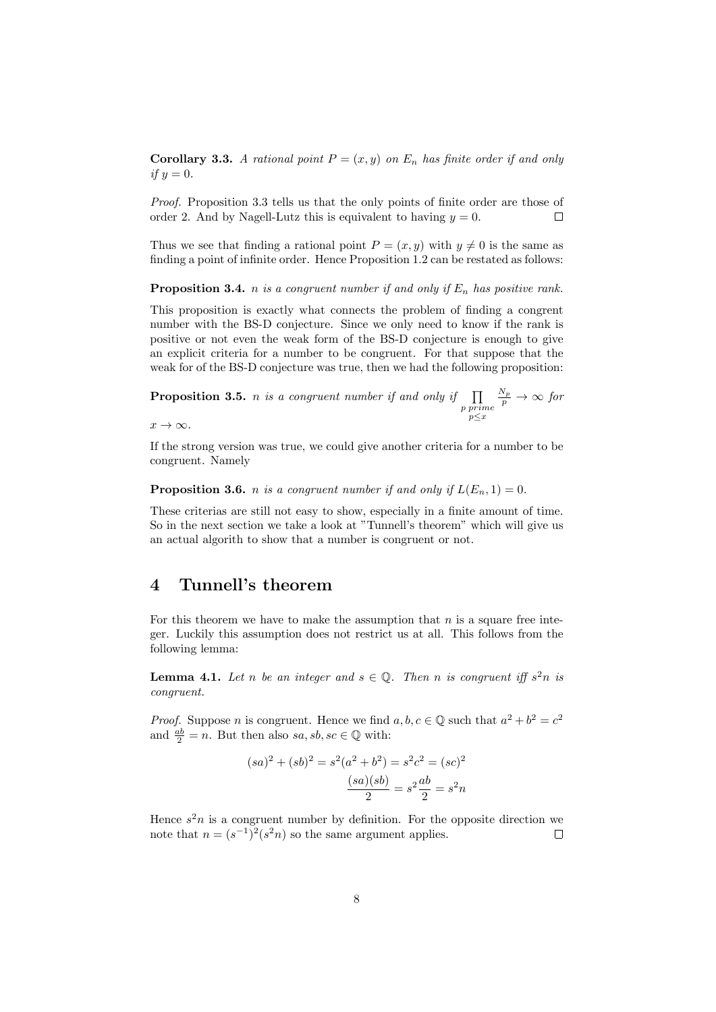**Corollary 3.3.** A rational point  $P = (x, y)$  on  $E_n$  has finite order if and only *if*  $y = 0$ *.* 

*Proof.* Proposition 3.3 tells us that the only points of finite order are those of order 2. And by Nagell-Lutz this is equivalent to having  $y = 0$ .  $\Box$ 

Thus we see that finding a rational point  $P = (x, y)$  with  $y \neq 0$  is the same as finding a point of infinite order. Hence Proposition 1.2 can be restated as follows:

**Proposition 3.4.** *n is a congruent number if* and *only if*  $E_n$  *has positive rank.* 

This proposition is exactly what connects the problem of finding a congrent number with the BS-D conjecture. Since we only need to know if the rank is positive or not even the weak form of the BS-D conjecture is enough to give an explicit criteria for a number to be congruent. For that suppose that the weak for of the BS-D conjecture was true, then we had the following proposition:

**Proposition 3.5.** *n is a congruent number if and only if*  $\prod$ *p prime p*≤*x*  $\frac{N_p}{p} \rightarrow \infty$  *for* 

 $x \rightarrow \infty$ *.* 

If the strong version was true, we could give another criteria for a number to be congruent. Namely

**Proposition 3.6.** *n is a congruent number if* and only if  $L(E_n, 1) = 0$ .

These criterias are still not easy to show, especially in a finite amount of time. So in the next section we take a look at "Tunnell's theorem" which will give us an actual algorith to show that a number is congruent or not.

#### 4 Tunnell's theorem

For this theorem we have to make the assumption that *n* is a square free integer. Luckily this assumption does not restrict us at all. This follows from the following lemma:

**Lemma 4.1.** Let *n* be an integer and  $s \in \mathbb{Q}$ . Then *n* is congruent iff  $s^2n$  is *congruent.*

*Proof.* Suppose *n* is congruent. Hence we find  $a, b, c \in \mathbb{Q}$  such that  $a^2 + b^2 = c^2$ and  $\frac{ab}{2} = n$ . But then also *sa*, *sb*, *sc*  $\in \mathbb{Q}$  with:

$$
(sa)^{2} + (sb)^{2} = s^{2}(a^{2} + b^{2}) = s^{2}c^{2} = (sc)^{2}
$$

$$
\frac{(sa)(sb)}{2} = s^{2}\frac{ab}{2} = s^{2}n
$$

Hence  $s^2n$  is a congruent number by definition. For the opposite direction we note that  $n = (s^{-1})^2 (s^2 n)$  so the same argument applies.  $\Box$